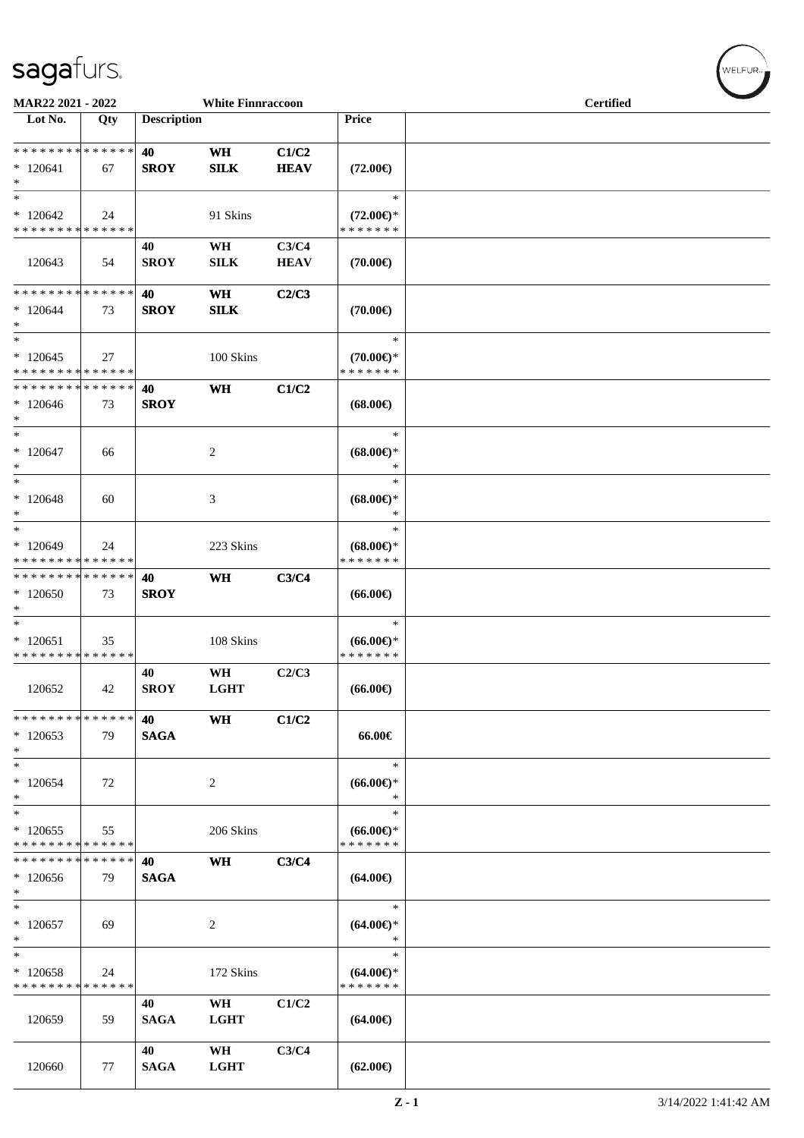| MAR22 2021 - 2022<br><b>White Finnraccoon</b>      |                   |                    |                          |                      |                                                | <b>Certified</b> |  |  |
|----------------------------------------------------|-------------------|--------------------|--------------------------|----------------------|------------------------------------------------|------------------|--|--|
| Lot No.                                            | Qty               | <b>Description</b> |                          |                      | Price                                          |                  |  |  |
| * * * * * * * * * * * * * *<br>$*120641$<br>$\ast$ | 67                | 40<br><b>SROY</b>  | WH<br>SLK                | C1/C2<br><b>HEAV</b> | $(72.00\epsilon)$                              |                  |  |  |
| $\ast$<br>$*120642$<br>* * * * * * * * * * * * * * | 24                |                    | 91 Skins                 |                      | $\ast$<br>$(72.00\epsilon)$ *<br>* * * * * * * |                  |  |  |
| 120643                                             | 54                | 40<br><b>SROY</b>  | WH<br>SILK               | C3/C4<br><b>HEAV</b> | $(70.00\epsilon)$                              |                  |  |  |
| * * * * * * * *<br>$*120644$<br>$*$<br>$\ast$      | * * * * * *<br>73 | 40<br><b>SROY</b>  | <b>WH</b><br><b>SILK</b> | C2/C3                | $(70.00\epsilon)$<br>$\ast$                    |                  |  |  |
| $*120645$<br>* * * * * * * * * * * * * *           | 27                |                    | 100 Skins                |                      | $(70.00\epsilon)$ *<br>* * * * * * *           |                  |  |  |
| * * * * * * * * * * * * * *<br>$*120646$<br>$*$    | 73                | 40<br><b>SROY</b>  | WH                       | C1/C2                | $(68.00\epsilon)$                              |                  |  |  |
| $*$<br>$*120647$<br>$\ast$                         | 66                |                    | 2                        |                      | $\ast$<br>$(68.00\epsilon)$ *<br>∗             |                  |  |  |
| $\ast$<br>$*120648$<br>$\ast$                      | 60                |                    | 3                        |                      | $\ast$<br>$(68.00\epsilon)$ *<br>*             |                  |  |  |
| $*$<br>* 120649<br>* * * * * * * * * * * * * *     | 24                |                    | 223 Skins                |                      | $\ast$<br>$(68.00\epsilon)$ *<br>* * * * * * * |                  |  |  |
| * * * * * * * * * * * * * *<br>$*120650$<br>$\ast$ | 73                | 40<br><b>SROY</b>  | <b>WH</b>                | C3/C4                | $(66.00\epsilon)$                              |                  |  |  |
| $\ast$<br>$*120651$<br>* * * * * * * * * * * * * * | 35                |                    | 108 Skins                |                      | $\ast$<br>$(66.00ε)$ *<br>* * * * * * *        |                  |  |  |
| 120652                                             | 42                | 40<br><b>SROY</b>  | WH<br><b>LGHT</b>        | C2/C3                | $(66.00\epsilon)$                              |                  |  |  |
| * * * * * * * *<br>$*120653$<br>$\ast$             | * * * * * *<br>79 | 40<br><b>SAGA</b>  | WH                       | C1/C2                | 66.00€                                         |                  |  |  |
| $\ast$<br>$*120654$<br>$*$                         | 72                |                    | $\overline{c}$           |                      | $\ast$<br>$(66.00\epsilon)$ *<br>*             |                  |  |  |
| $*$<br>$*120655$<br>* * * * * * * * * * * * * *    | 55                |                    | 206 Skins                |                      | $\ast$<br>$(66.00€)$ *<br>* * * * * * *        |                  |  |  |
| * * * * * * * *<br>$*120656$<br>$\ast$             | * * * * * *<br>79 | 40<br><b>SAGA</b>  | <b>WH</b>                | C3/C4                | $(64.00\epsilon)$                              |                  |  |  |
| $\ast$<br>$*120657$<br>$*$                         | 69                |                    | $\overline{c}$           |                      | $\ast$<br>$(64.00\epsilon)$ *<br>*             |                  |  |  |
| $\ast$<br>$*120658$<br>* * * * * * * * * * * * * * | 24                |                    | 172 Skins                |                      | $\ast$<br>$(64.00€)$ *<br>* * * * * * *        |                  |  |  |
| 120659                                             | 59                | 40<br><b>SAGA</b>  | WH<br><b>LGHT</b>        | C1/C2                | $(64.00\epsilon)$                              |                  |  |  |
| 120660                                             | 77                | 40<br><b>SAGA</b>  | WH<br><b>LGHT</b>        | C3/C4                | $(62.00\epsilon)$                              |                  |  |  |

 $w$ ELFUR<sub><sup>n</sub></sub></sub></sup>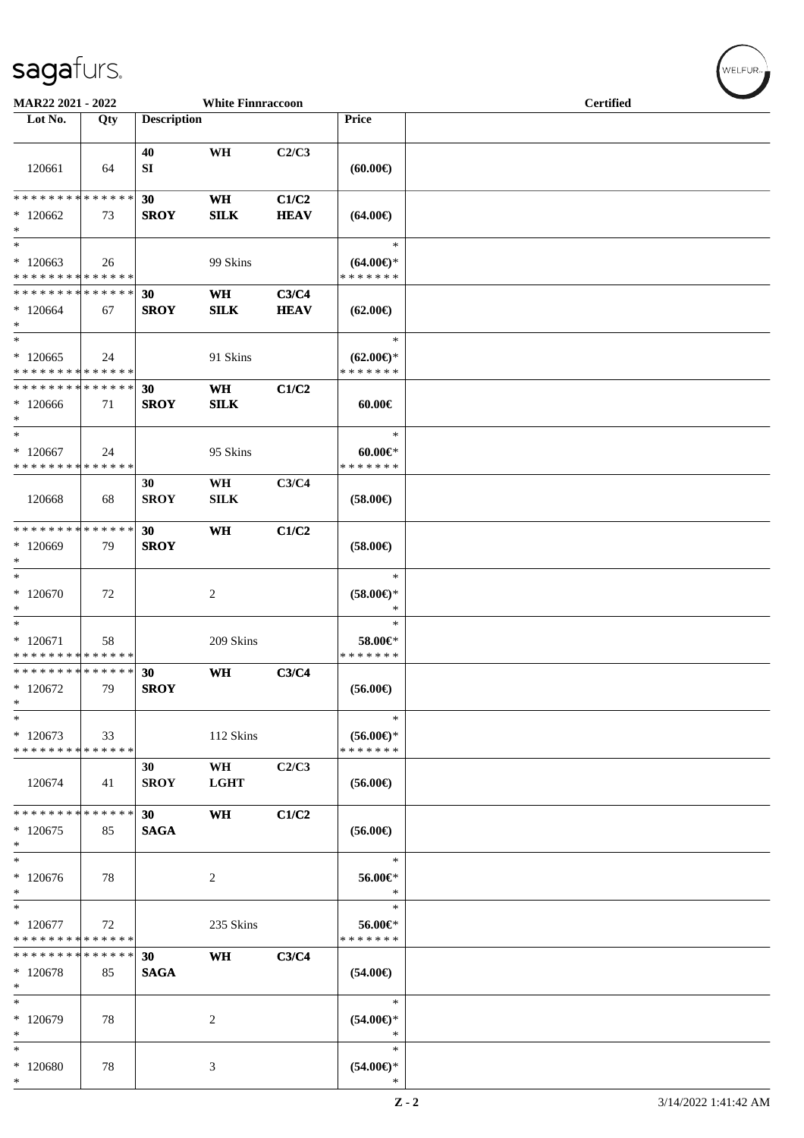\*

| <b>White Finnraccoon</b><br><b>MAR22 2021 - 2022</b> |     |                    |                   |                      |                                                | <b>Certified</b> |  |  |
|------------------------------------------------------|-----|--------------------|-------------------|----------------------|------------------------------------------------|------------------|--|--|
| Lot No.                                              | Qty | <b>Description</b> |                   |                      | Price                                          |                  |  |  |
| 120661                                               | 64  | 40<br>SI           | WH                | C2/C3                | (60.00)                                        |                  |  |  |
| * * * * * * * * * * * * * *<br>$*120662$<br>$*$      | 73  | 30<br><b>SROY</b>  | <b>WH</b><br>SLK  | C1/C2<br><b>HEAV</b> | $(64.00\epsilon)$                              |                  |  |  |
| $\ast$<br>$*120663$<br>* * * * * * * * * * * * * *   | 26  |                    | 99 Skins          |                      | $\ast$<br>$(64.00\epsilon)$ *<br>* * * * * * * |                  |  |  |
| * * * * * * * * * * * * * * *<br>$*120664$<br>$*$    | 67  | 30<br><b>SROY</b>  | WH<br>SLK         | C3/C4<br><b>HEAV</b> | $(62.00\epsilon)$                              |                  |  |  |
| $*$<br>$*120665$<br>* * * * * * * * * * * * * *      | 24  |                    | 91 Skins          |                      | $\ast$<br>$(62.00\epsilon)$ *<br>* * * * * * * |                  |  |  |
| * * * * * * * * * * * * * * *<br>$*120666$<br>$*$    | 71  | 30<br><b>SROY</b>  | WH<br><b>SILK</b> | C1/C2                | 60.00€                                         |                  |  |  |
| $*$<br>$*120667$<br>* * * * * * * * * * * * * *      | 24  |                    | 95 Skins          |                      | $\ast$<br>$60.00 \in$ *<br>* * * * * * *       |                  |  |  |
| 120668                                               | 68  | 30<br><b>SROY</b>  | WH<br><b>SILK</b> | C3/C4                | $(58.00\epsilon)$                              |                  |  |  |
| * * * * * * * * * * * * * * *<br>$*120669$<br>$\ast$ | 79  | 30<br><b>SROY</b>  | WH                | C1/C2                | $(58.00\epsilon)$                              |                  |  |  |
| $*$<br>$*120670$<br>$\ast$                           | 72  |                    | 2                 |                      | $\ast$<br>$(58.00\epsilon)$ *<br>$\ast$        |                  |  |  |
| $*$<br>$*120671$<br>* * * * * * * * * * * * * *      | 58  |                    | 209 Skins         |                      | $\ast$<br>58.00€*<br>* * * * * * *             |                  |  |  |
| * * * * * * * * * * * * * * *<br>$*120672$<br>$\ast$ | 79  | 30<br><b>SROY</b>  | WH                | C3/C4                | $(56.00\epsilon)$                              |                  |  |  |
| $\ast$<br>$*120673$<br>* * * * * * * * * * * * * *   | 33  |                    | 112 Skins         |                      | $\ast$<br>$(56.00\epsilon)$ *<br>* * * * * * * |                  |  |  |
| 120674                                               | 41  | 30<br><b>SROY</b>  | WH<br><b>LGHT</b> | C2/C3                | $(56.00\epsilon)$                              |                  |  |  |
| * * * * * * * * * * * * * * *<br>$*120675$<br>$*$    | 85  | 30<br><b>SAGA</b>  | WH                | C1/C2                | $(56.00\epsilon)$                              |                  |  |  |
| $*$<br>$*120676$<br>$*$                              | 78  |                    | 2                 |                      | $\ast$<br>56.00€*<br>$\ast$                    |                  |  |  |
| $\ast$<br>$*120677$<br>* * * * * * * * * * * * * *   | 72  |                    | 235 Skins         |                      | $\ast$<br>56.00€*<br>* * * * * * *             |                  |  |  |
| * * * * * * * * * * * * * *<br>$*120678$<br>$\ast$   | 85  | 30<br><b>SAGA</b>  | WH                | C3/C4                | $(54.00\epsilon)$                              |                  |  |  |
| $*$<br>* 120679<br>$\ast$                            | 78  |                    | 2                 |                      | $\ast$<br>$(54.00\epsilon)$ *<br>$\ast$        |                  |  |  |
| $\ast$<br>* 120680                                   | 78  |                    | 3                 |                      | $\ast$<br>$(54.00ε)$ *                         |                  |  |  |

 $w$ ELFUR<sub>m</sub>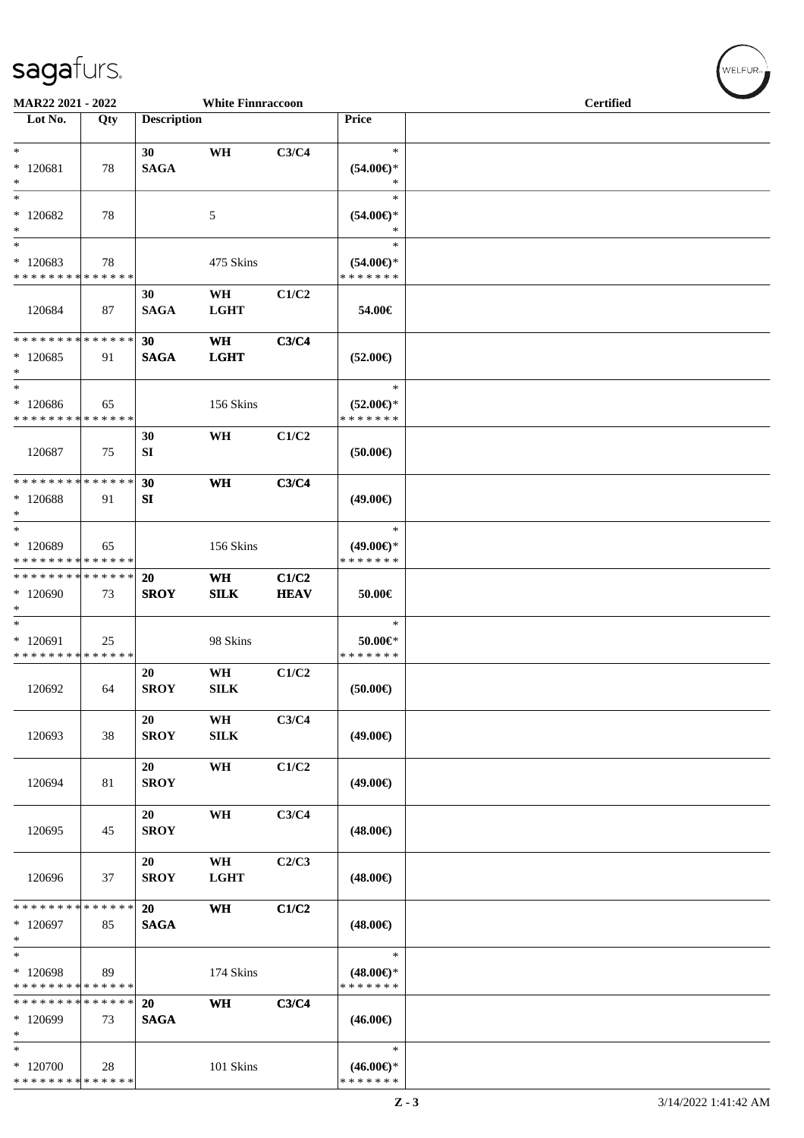| MAR22 2021 - 2022                                  |     |                          | <b>White Finnraccoon</b> |                      |                                                | <b>Certified</b> |  |  |
|----------------------------------------------------|-----|--------------------------|--------------------------|----------------------|------------------------------------------------|------------------|--|--|
| Lot No.                                            | Qty | <b>Description</b>       |                          |                      | Price                                          |                  |  |  |
| $*$                                                |     | 30                       | WH                       | C3/C4                | $\ast$                                         |                  |  |  |
| $*120681$<br>$\ast$                                | 78  | <b>SAGA</b>              |                          |                      | $(54.00ε)$ *<br>$\ast$                         |                  |  |  |
| $\ast$<br>$*120682$<br>$\ast$                      | 78  |                          | 5                        |                      | $\ast$<br>$(54.00ε)$ *<br>$\ast$               |                  |  |  |
| $\ast$<br>$*120683$<br>* * * * * * * * * * * * * * | 78  |                          | 475 Skins                |                      | $\ast$<br>$(54.00ε)$ *<br>* * * * * * *        |                  |  |  |
| 120684                                             | 87  | 30<br><b>SAGA</b>        | WH<br><b>LGHT</b>        | C1/C2                | 54.00€                                         |                  |  |  |
| * * * * * * * * * * * * * *<br>$*120685$<br>$*$    | 91  | 30<br><b>SAGA</b>        | <b>WH</b><br><b>LGHT</b> | C3/C4                | $(52.00\epsilon)$                              |                  |  |  |
| $*$<br>* 120686<br>* * * * * * * * * * * * * *     | 65  |                          | 156 Skins                |                      | $\ast$<br>$(52.00 \in )^*$<br>* * * * * * *    |                  |  |  |
| 120687                                             | 75  | 30<br>SI                 | WH                       | C1/C2                | (50.00)                                        |                  |  |  |
| * * * * * * * * * * * * * *<br>* 120688<br>$\ast$  | 91  | 30<br>SI                 | WH                       | C3/C4                | $(49.00\epsilon)$                              |                  |  |  |
| $*$<br>* 120689<br>* * * * * * * * * * * * * *     | 65  |                          | 156 Skins                |                      | $\ast$<br>$(49.00ε)$ *<br>* * * * * * *        |                  |  |  |
| * * * * * * * * * * * * * *<br>* 120690<br>$*$     | 73  | 20<br><b>SROY</b>        | WH<br><b>SILK</b>        | C1/C2<br><b>HEAV</b> | 50.00€                                         |                  |  |  |
| $*$<br>* 120691<br>* * * * * * * * * * * * * *     | 25  |                          | 98 Skins                 |                      | $\ast$<br>50.00€*<br>* * * * * * *             |                  |  |  |
| 120692                                             | 64  | 20<br><b>SROY</b>        | WH<br>${\bf SILK}$       | C1/C2                | (50.00)                                        |                  |  |  |
| 120693                                             | 38  | 20<br><b>SROY</b>        | WH<br>SILK               | C3/C4                | $(49.00\epsilon)$                              |                  |  |  |
| 120694                                             | 81  | 20<br><b>SROY</b>        | WH                       | C1/C2                | $(49.00\epsilon)$                              |                  |  |  |
| 120695                                             | 45  | 20<br><b>SROY</b>        | WH                       | C3/C4                | $(48.00\epsilon)$                              |                  |  |  |
| 120696                                             | 37  | 20<br><b>SROY</b>        | WH<br><b>LGHT</b>        | C2/C3                | $(48.00\epsilon)$                              |                  |  |  |
| * * * * * * * * * * * * * *<br>* 120697<br>$*$     | 85  | <b>20</b><br><b>SAGA</b> | <b>WH</b>                | C1/C2                | $(48.00\epsilon)$                              |                  |  |  |
| $\ast$<br>* 120698<br>* * * * * * * * * * * * * *  | 89  |                          | 174 Skins                |                      | $\ast$<br>$(48.00\epsilon)$ *<br>* * * * * * * |                  |  |  |
| * * * * * * * * * * * * * *<br>* 120699<br>$*$     | 73  | 20<br><b>SAGA</b>        | <b>WH</b>                | C3/C4                | $(46.00\epsilon)$                              |                  |  |  |
| $*$<br>* 120700<br>* * * * * * * * * * * * * *     | 28  |                          | 101 Skins                |                      | $\ast$<br>$(46.00\epsilon)$ *<br>* * * * * * * |                  |  |  |

 $w$ ELFUR-